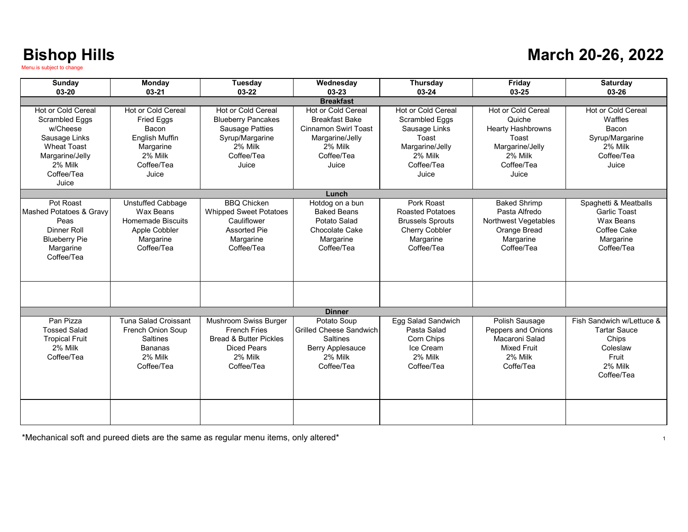### **March 20-26, 2022**

| <b>Sunday</b><br>$03 - 20$                                                                                                                   | Monday<br>$03-21$                                                                                                               | <b>Tuesday</b><br>03-22                                                                                                          | Wednesday<br>03-23                                                                                                                     | <b>Thursday</b><br>03-24                                                                                                   | Friday<br>03-25                                                                                                               | <b>Saturday</b><br>03-26                                                                                |  |  |
|----------------------------------------------------------------------------------------------------------------------------------------------|---------------------------------------------------------------------------------------------------------------------------------|----------------------------------------------------------------------------------------------------------------------------------|----------------------------------------------------------------------------------------------------------------------------------------|----------------------------------------------------------------------------------------------------------------------------|-------------------------------------------------------------------------------------------------------------------------------|---------------------------------------------------------------------------------------------------------|--|--|
| <b>Breakfast</b>                                                                                                                             |                                                                                                                                 |                                                                                                                                  |                                                                                                                                        |                                                                                                                            |                                                                                                                               |                                                                                                         |  |  |
| Hot or Cold Cereal<br>Scrambled Eggs<br>w/Cheese<br>Sausage Links<br><b>Wheat Toast</b><br>Margarine/Jelly<br>2% Milk<br>Coffee/Tea<br>Juice | Hot or Cold Cereal<br><b>Fried Eggs</b><br><b>Bacon</b><br><b>English Muffin</b><br>Margarine<br>2% Milk<br>Coffee/Tea<br>Juice | Hot or Cold Cereal<br><b>Blueberry Pancakes</b><br><b>Sausage Patties</b><br>Syrup/Margarine<br>2% Milk<br>Coffee/Tea<br>Juice   | <b>Hot or Cold Cereal</b><br><b>Breakfast Bake</b><br><b>Cinnamon Swirl Toast</b><br>Margarine/Jelly<br>2% Milk<br>Coffee/Tea<br>Juice | Hot or Cold Cereal<br><b>Scrambled Eggs</b><br>Sausage Links<br>Toast<br>Margarine/Jelly<br>2% Milk<br>Coffee/Tea<br>Juice | <b>Hot or Cold Cereal</b><br>Quiche<br><b>Hearty Hashbrowns</b><br>Toast<br>Margarine/Jelly<br>2% Milk<br>Coffee/Tea<br>Juice | Hot or Cold Cereal<br>Waffles<br><b>Bacon</b><br>Syrup/Margarine<br>2% Milk<br>Coffee/Tea<br>Juice      |  |  |
|                                                                                                                                              |                                                                                                                                 |                                                                                                                                  | Lunch                                                                                                                                  |                                                                                                                            |                                                                                                                               |                                                                                                         |  |  |
| Pot Roast<br>Mashed Potatoes & Gravy<br>Peas<br>Dinner Roll<br><b>Blueberry Pie</b><br>Margarine<br>Coffee/Tea                               | Unstuffed Cabbage<br>Wax Beans<br>Homemade Biscuits<br>Apple Cobbler<br>Margarine<br>Coffee/Tea                                 | <b>BBQ Chicken</b><br><b>Whipped Sweet Potatoes</b><br>Cauliflower<br><b>Assorted Pie</b><br>Margarine<br>Coffee/Tea             | Hotdog on a bun<br><b>Baked Beans</b><br>Potato Salad<br>Chocolate Cake<br>Margarine<br>Coffee/Tea                                     | Pork Roast<br><b>Roasted Potatoes</b><br><b>Brussels Sprouts</b><br><b>Cherry Cobbler</b><br>Margarine<br>Coffee/Tea       | <b>Baked Shrimp</b><br>Pasta Alfredo<br>Northwest Vegetables<br>Orange Bread<br>Margarine<br>Coffee/Tea                       | Spaghetti & Meatballs<br><b>Garlic Toast</b><br>Wax Beans<br>Coffee Cake<br>Margarine<br>Coffee/Tea     |  |  |
|                                                                                                                                              |                                                                                                                                 |                                                                                                                                  | <b>Dinner</b>                                                                                                                          |                                                                                                                            |                                                                                                                               |                                                                                                         |  |  |
| Pan Pizza<br><b>Tossed Salad</b><br><b>Tropical Fruit</b><br>2% Milk<br>Coffee/Tea                                                           | <b>Tuna Salad Croissant</b><br><b>French Onion Soup</b><br><b>Saltines</b><br>Bananas<br>2% Milk<br>Coffee/Tea                  | Mushroom Swiss Burger<br><b>French Fries</b><br><b>Bread &amp; Butter Pickles</b><br><b>Diced Pears</b><br>2% Milk<br>Coffee/Tea | Potato Soup<br><b>Grilled Cheese Sandwich</b><br><b>Saltines</b><br>Berry Applesauce<br>2% Milk<br>Coffee/Tea                          | Egg Salad Sandwich<br>Pasta Salad<br>Corn Chips<br>Ice Cream<br>2% Milk<br>Coffee/Tea                                      | Polish Sausage<br>Peppers and Onions<br>Macaroni Salad<br><b>Mixed Fruit</b><br>2% Milk<br>Coffe/Tea                          | Fish Sandwich w/Lettuce &<br><b>Tartar Sauce</b><br>Chips<br>Coleslaw<br>Fruit<br>2% Milk<br>Coffee/Tea |  |  |
|                                                                                                                                              |                                                                                                                                 |                                                                                                                                  |                                                                                                                                        |                                                                                                                            |                                                                                                                               |                                                                                                         |  |  |

\*Mechanical soft and pureed diets are the same as regular menu items, only altered\*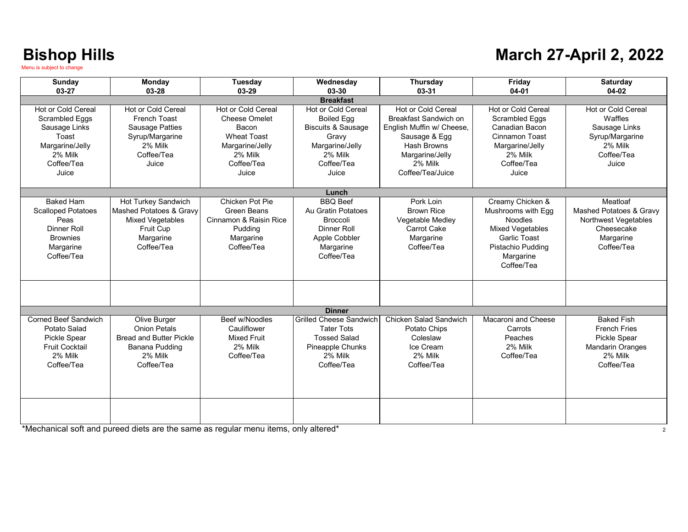### **March 27-April 2, 2022**

| Sunday                      | <b>Monday</b>                  | <b>Tuesday</b>         | Wednesday                      | <b>Thursday</b>               | Friday                  | <b>Saturday</b>         |  |
|-----------------------------|--------------------------------|------------------------|--------------------------------|-------------------------------|-------------------------|-------------------------|--|
| 03-27                       | 03-28                          | 03-29                  | 03-30                          | 03-31                         | $04 - 01$               | 04-02                   |  |
| <b>Breakfast</b>            |                                |                        |                                |                               |                         |                         |  |
| Hot or Cold Cereal          | Hot or Cold Cereal             | Hot or Cold Cereal     | Hot or Cold Cereal             | Hot or Cold Cereal            | Hot or Cold Cereal      | Hot or Cold Cereal      |  |
| Scrambled Eggs              | French Toast                   | Cheese Omelet          | <b>Boiled Egg</b>              | Breakfast Sandwich on         | Scrambled Eggs          | Waffles                 |  |
| Sausage Links               | <b>Sausage Patties</b>         | Bacon                  | <b>Biscuits &amp; Sausage</b>  | English Muffin w/ Cheese,     | Canadian Bacon          | Sausage Links           |  |
| Toast                       | Syrup/Margarine                | Wheat Toast            | Gravy                          | Sausage & Egg                 | Cinnamon Toast          | Syrup/Margarine         |  |
| Margarine/Jelly             | 2% Milk                        | Margarine/Jelly        | Margarine/Jelly                | Hash Browns                   | Margarine/Jelly         | 2% Milk                 |  |
| 2% Milk                     | Coffee/Tea                     | 2% Milk                | 2% Milk                        | Margarine/Jelly               | 2% Milk                 | Coffee/Tea              |  |
| Coffee/Tea                  | Juice                          | Coffee/Tea             | Coffee/Tea                     | 2% Milk                       | Coffee/Tea              | Juice                   |  |
| Juice                       |                                | Juice                  | Juice                          | Coffee/Tea/Juice              | Juice                   |                         |  |
|                             |                                |                        |                                |                               |                         |                         |  |
|                             |                                |                        | Lunch                          |                               |                         |                         |  |
| <b>Baked Ham</b>            | Hot Turkey Sandwich            | Chicken Pot Pie        | <b>BBO</b> Beef                | Pork Loin                     | Creamy Chicken &        | Meatloaf                |  |
| <b>Scalloped Potatoes</b>   | Mashed Potatoes & Gravy        | Green Beans            | Au Gratin Potatoes             | <b>Brown Rice</b>             | Mushrooms with Egg      | Mashed Potatoes & Gravy |  |
| Peas                        | <b>Mixed Vegetables</b>        | Cinnamon & Raisin Rice | <b>Broccoli</b>                | Vegetable Medley              | <b>Noodles</b>          | Northwest Vegetables    |  |
| <b>Dinner Roll</b>          | <b>Fruit Cup</b>               | Pudding                | Dinner Roll                    | <b>Carrot Cake</b>            | <b>Mixed Vegetables</b> | Cheesecake              |  |
| <b>Brownies</b>             | Margarine                      | Margarine              | Apple Cobbler                  | Margarine                     | <b>Garlic Toast</b>     | Margarine               |  |
| Margarine                   | Coffee/Tea                     | Coffee/Tea             | Margarine                      | Coffee/Tea                    | Pistachio Pudding       | Coffee/Tea              |  |
| Coffee/Tea                  |                                |                        | Coffee/Tea                     |                               | Margarine               |                         |  |
|                             |                                |                        |                                |                               | Coffee/Tea              |                         |  |
|                             |                                |                        |                                |                               |                         |                         |  |
|                             |                                |                        |                                |                               |                         |                         |  |
|                             |                                |                        |                                |                               |                         |                         |  |
|                             |                                |                        | <b>Dinner</b>                  |                               |                         |                         |  |
| <b>Corned Beef Sandwich</b> | Olive Burger                   | Beef w/Noodles         | <b>Grilled Cheese Sandwich</b> | <b>Chicken Salad Sandwich</b> | Macaroni and Cheese     | <b>Baked Fish</b>       |  |
| Potato Salad                | <b>Onion Petals</b>            | Cauliflower            | <b>Tater Tots</b>              | Potato Chips                  | Carrots                 | <b>French Fries</b>     |  |
| <b>Pickle Spear</b>         | <b>Bread and Butter Pickle</b> | <b>Mixed Fruit</b>     | <b>Tossed Salad</b>            | Coleslaw                      | Peaches                 | <b>Pickle Spear</b>     |  |
| <b>Fruit Cocktail</b>       | Banana Pudding                 | 2% Milk                | Pineapple Chunks               | Ice Cream                     | 2% Milk                 | <b>Mandarin Oranges</b> |  |
| 2% Milk                     | 2% Milk                        | Coffee/Tea             | 2% Milk                        | 2% Milk                       | Coffee/Tea              | 2% Milk                 |  |
| Coffee/Tea                  | Coffee/Tea                     |                        | Coffee/Tea                     | Coffee/Tea                    |                         | Coffee/Tea              |  |
|                             |                                |                        |                                |                               |                         |                         |  |
|                             |                                |                        |                                |                               |                         |                         |  |
|                             |                                |                        |                                |                               |                         |                         |  |
|                             |                                |                        |                                |                               |                         |                         |  |
|                             |                                |                        |                                |                               |                         |                         |  |
|                             |                                |                        |                                |                               |                         |                         |  |

\*Mechanical soft and pureed diets are the same as regular menu items, only altered\* <sup>2</sup>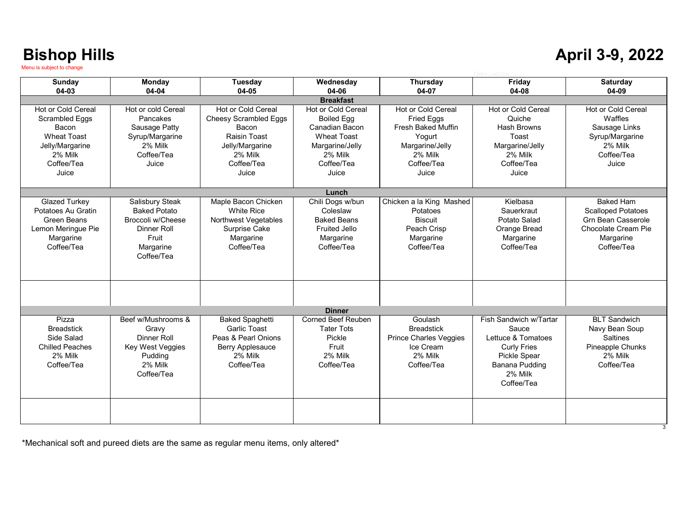### **April 3-9, 2022**

| <b>Sunday</b>          | Monday              | Tuesday                      | Wednesday            | <b>Thursday</b>               | Friday                 | <b>Saturday</b>           |  |
|------------------------|---------------------|------------------------------|----------------------|-------------------------------|------------------------|---------------------------|--|
| 04-03                  | 04-04               | 04-05                        | 04-06                | 04-07                         | 04-08                  | 04-09                     |  |
| <b>Breakfast</b>       |                     |                              |                      |                               |                        |                           |  |
| Hot or Cold Cereal     | Hot or cold Cereal  | Hot or Cold Cereal           | Hot or Cold Cereal   | <b>Hot or Cold Cereal</b>     | Hot or Cold Cereal     | Hot or Cold Cereal        |  |
| Scrambled Eggs         | Pancakes            | <b>Cheesy Scrambled Eggs</b> | <b>Boiled Egg</b>    | <b>Fried Eggs</b>             | Quiche                 | Waffles                   |  |
| Bacon                  | Sausage Patty       | Bacon                        | Canadian Bacon       | <b>Fresh Baked Muffin</b>     | <b>Hash Browns</b>     | Sausage Links             |  |
| <b>Wheat Toast</b>     | Syrup/Margarine     | Raisin Toast                 | <b>Wheat Toast</b>   | Yogurt                        | Toast                  | Syrup/Margarine           |  |
| Jelly/Margarine        | 2% Milk             | Jelly/Margarine              | Margarine/Jelly      | Margarine/Jelly               | Margarine/Jelly        | 2% Milk                   |  |
| 2% Milk                | Coffee/Tea          | 2% Milk                      | 2% Milk              | 2% Milk                       | 2% Milk                | Coffee/Tea                |  |
| Coffee/Tea             | Juice               | Coffee/Tea                   | Coffee/Tea           | Coffee/Tea                    | Coffee/Tea             | Juice                     |  |
| Juice                  |                     | Juice                        | Juice                | Juice                         | Juice                  |                           |  |
|                        |                     |                              |                      |                               |                        |                           |  |
|                        |                     |                              | Lunch                |                               |                        |                           |  |
| <b>Glazed Turkey</b>   | Salisbury Steak     | Maple Bacon Chicken          | Chili Dogs w/bun     | Chicken a la King Mashed      | Kielbasa               | <b>Baked Ham</b>          |  |
| Potatoes Au Gratin     | <b>Baked Potato</b> | <b>White Rice</b>            | Coleslaw             | <b>Potatoes</b>               | Sauerkraut             | <b>Scalloped Potatoes</b> |  |
| Green Beans            | Broccoli w/Cheese   | <b>Northwest Vegetables</b>  | <b>Baked Beans</b>   | <b>Biscuit</b>                | Potato Salad           | <b>Grn Bean Casserole</b> |  |
| Lemon Meringue Pie     | Dinner Roll         | Surprise Cake                | <b>Fruited Jello</b> | Peach Crisp                   | Orange Bread           | Chocolate Cream Pie       |  |
| Margarine              | Fruit               | Margarine                    | Margarine            | Margarine                     | Margarine              | Margarine                 |  |
| Coffee/Tea             | Margarine           | Coffee/Tea                   | Coffee/Tea           | Coffee/Tea                    | Coffee/Tea             | Coffee/Tea                |  |
|                        | Coffee/Tea          |                              |                      |                               |                        |                           |  |
|                        |                     |                              |                      |                               |                        |                           |  |
|                        |                     |                              |                      |                               |                        |                           |  |
|                        |                     |                              |                      |                               |                        |                           |  |
|                        |                     |                              |                      |                               |                        |                           |  |
|                        |                     |                              |                      |                               |                        |                           |  |
|                        |                     |                              | <b>Dinner</b>        |                               |                        |                           |  |
| Pizza                  | Beef w/Mushrooms &  | Baked Spaghetti              | Corned Beef Reuben   | Goulash                       | Fish Sandwich w/Tartar | <b>BLT Sandwich</b>       |  |
| <b>Breadstick</b>      | Gravy               | <b>Garlic Toast</b>          | <b>Tater Tots</b>    | <b>Breadstick</b>             | Sauce                  | Navy Bean Soup            |  |
| Side Salad             | Dinner Roll         | Peas & Pearl Onions          | Pickle               | <b>Prince Charles Veggies</b> | Lettuce & Tomatoes     | Saltines                  |  |
| <b>Chilled Peaches</b> | Key West Veggies    | <b>Berry Applesauce</b>      | Fruit                | Ice Cream                     | <b>Curly Fries</b>     | Pineapple Chunks          |  |
| 2% Milk                | Pudding             | 2% Milk                      | 2% Milk              | 2% Milk                       | Pickle Spear           | 2% Milk                   |  |
| Coffee/Tea             | 2% Milk             | Coffee/Tea                   | Coffee/Tea           | Coffee/Tea                    | <b>Banana Pudding</b>  | Coffee/Tea                |  |
|                        | Coffee/Tea          |                              |                      |                               | 2% Milk                |                           |  |
|                        |                     |                              |                      |                               | Coffee/Tea             |                           |  |
|                        |                     |                              |                      |                               |                        |                           |  |
|                        |                     |                              |                      |                               |                        |                           |  |
|                        |                     |                              |                      |                               |                        |                           |  |
|                        |                     |                              |                      |                               |                        |                           |  |

\*Mechanical soft and pureed diets are the same as regular menu items, only altered\*

3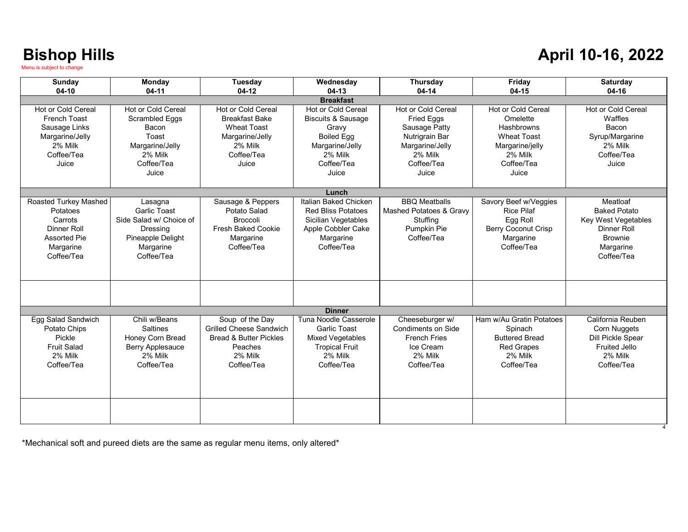### **April 10-16, 2022**

| Sunday                | Monday                  | Tuesday                           | Wednesday                     | Thursday                | Friday                     | Saturday                 |  |
|-----------------------|-------------------------|-----------------------------------|-------------------------------|-------------------------|----------------------------|--------------------------|--|
| $04-10$               | $04-11$                 | $04-12$                           | $04-13$                       | $04 - 14$               | $04-15$                    | 04-16                    |  |
| <b>Breakfast</b>      |                         |                                   |                               |                         |                            |                          |  |
| Hot or Cold Cereal    | Hot or Cold Cereal      | Hot or Cold Cereal                | Hot or Cold Cereal            | Hot or Cold Cereal      | Hot or Cold Cereal         | Hot or Cold Cereal       |  |
| <b>French Toast</b>   | Scrambled Eggs          | <b>Breakfast Bake</b>             | <b>Biscuits &amp; Sausage</b> | Fried Eggs              | Omelette                   | Waffles                  |  |
| Sausage Links         | Bacon                   | <b>Wheat Toast</b>                | Gravy                         | Sausage Patty           | Hashbrowns                 | Bacon                    |  |
| Margarine/Jelly       | Toast                   | Margarine/Jelly                   | <b>Boiled Egg</b>             | Nutrigrain Bar          | <b>Wheat Toast</b>         | Syrup/Margarine          |  |
| 2% Milk               | Margarine/Jelly         | 2% Milk                           | Margarine/Jelly               | Margarine/Jelly         | Margarine/jelly            | 2% Milk                  |  |
| Coffee/Tea            | 2% Milk                 | Coffee/Tea                        | 2% Milk                       | 2% Milk                 | 2% Milk                    | Coffee/Tea               |  |
| Juice                 | Coffee/Tea              | Juice                             | Coffee/Tea                    | Coffee/Tea              | Coffee/Tea                 | Juice                    |  |
|                       | Juice                   |                                   | Juice                         | Juice                   | Juice                      |                          |  |
|                       |                         |                                   |                               |                         |                            |                          |  |
|                       |                         |                                   | Lunch                         |                         |                            |                          |  |
| Roasted Turkey Mashed | Lasagna                 | Sausage & Peppers                 | Italian Baked Chicken         | <b>BBO</b> Meatballs    | Savory Beef w/Veggies      | Meatloaf                 |  |
| Potatoes              | <b>Garlic Toast</b>     | Potato Salad                      | <b>Red Bliss Potatoes</b>     | Mashed Potatoes & Gravy | <b>Rice Pilaf</b>          | <b>Baked Potato</b>      |  |
| Carrots               | Side Salad w/ Choice of | <b>Broccoli</b>                   | Sicilian Vegetables           | Stuffing                | Egg Roll                   | Key West Vegetables      |  |
| <b>Dinner Roll</b>    | Dressing                | <b>Fresh Baked Cookie</b>         | Apple Cobbler Cake            | Pumpkin Pie             | <b>Berry Coconut Crisp</b> | Dinner Roll              |  |
| <b>Assorted Pie</b>   | Pineapple Delight       | Margarine                         | Margarine                     | Coffee/Tea              | Margarine                  | <b>Brownie</b>           |  |
| Margarine             | Margarine               | Coffee/Tea                        | Coffee/Tea                    |                         | Coffee/Tea                 | Margarine                |  |
| Coffee/Tea            | Coffee/Tea              |                                   |                               |                         |                            | Coffee/Tea               |  |
|                       |                         |                                   |                               |                         |                            |                          |  |
|                       |                         |                                   |                               |                         |                            |                          |  |
|                       |                         |                                   |                               |                         |                            |                          |  |
|                       |                         |                                   |                               |                         |                            |                          |  |
|                       |                         |                                   | <b>Dinner</b>                 |                         |                            |                          |  |
| Egg Salad Sandwich    | Chili w/Beans           | Soup of the Day                   | Tuna Noodle Casserole         | Cheeseburger w/         | Ham w/Au Gratin Potatoes   | California Reuben        |  |
| Potato Chips          | <b>Saltines</b>         | <b>Grilled Cheese Sandwich</b>    | <b>Garlic Toast</b>           | Condiments on Side      | Spinach                    | Corn Nuggets             |  |
| Pickle                | Honey Corn Bread        | <b>Bread &amp; Butter Pickles</b> | Mixed Vegetables              | <b>French Fries</b>     | <b>Buttered Bread</b>      | <b>Dill Pickle Spear</b> |  |
| <b>Fruit Salad</b>    | <b>Berry Applesauce</b> | Peaches                           | <b>Tropical Fruit</b>         | Ice Cream               | <b>Red Grapes</b>          | <b>Fruited Jello</b>     |  |
| 2% Milk               | 2% Milk                 | 2% Milk                           | 2% Milk                       | 2% Milk                 | 2% Milk                    | 2% Milk                  |  |
| Coffee/Tea            | Coffee/Tea              | Coffee/Tea                        | Coffee/Tea                    | Coffee/Tea              | Coffee/Tea                 | Coffee/Tea               |  |
|                       |                         |                                   |                               |                         |                            |                          |  |
|                       |                         |                                   |                               |                         |                            |                          |  |
|                       |                         |                                   |                               |                         |                            |                          |  |
|                       |                         |                                   |                               |                         |                            |                          |  |
|                       |                         |                                   |                               |                         |                            |                          |  |
|                       |                         |                                   |                               |                         |                            |                          |  |

\*Mechanical soft and pureed diets are the same as regular menu items, only altered\*

4